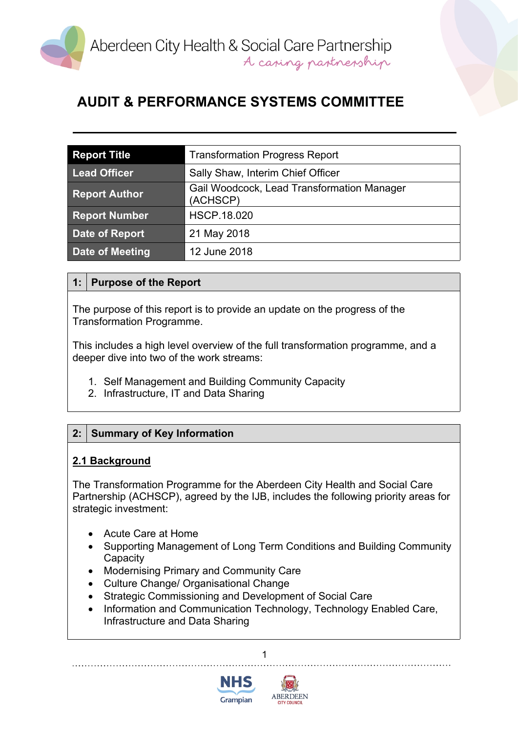

| <b>Report Title</b>  | <b>Transformation Progress Report</b>                  |
|----------------------|--------------------------------------------------------|
| <b>Lead Officer</b>  | Sally Shaw, Interim Chief Officer                      |
| <b>Report Author</b> | Gail Woodcock, Lead Transformation Manager<br>(ACHSCP) |
| <b>Report Number</b> | <b>HSCP.18.020</b>                                     |
| Date of Report       | 21 May 2018                                            |
| Date of Meeting      | 12 June 2018                                           |

## **1: Purpose of the Report**

The purpose of this report is to provide an update on the progress of the Transformation Programme.

This includes a high level overview of the full transformation programme, and a deeper dive into two of the work streams:

- 1. Self Management and Building Community Capacity
- 2. Infrastructure, IT and Data Sharing

# **2: Summary of Key Information**

### **2.1 Background**

The Transformation Programme for the Aberdeen City Health and Social Care Partnership (ACHSCP), agreed by the IJB, includes the following priority areas for strategic investment:

- Acute Care at Home
- Supporting Management of Long Term Conditions and Building Community **Capacity**
- Modernising Primary and Community Care
- Culture Change/ Organisational Change
- Strategic Commissioning and Development of Social Care
- Information and Communication Technology, Technology Enabled Care, Infrastructure and Data Sharing



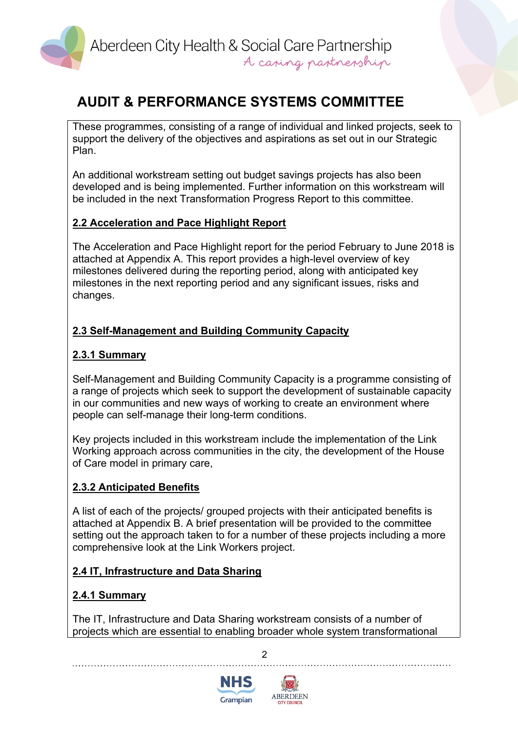

These programmes, consisting of a range of individual and linked projects, seek to support the delivery of the objectives and aspirations as set out in our Strategic Plan.

An additional workstream setting out budget savings projects has also been developed and is being implemented. Further information on this workstream will be included in the next Transformation Progress Report to this committee.

### **2.2 Acceleration and Pace Highlight Report**

The Acceleration and Pace Highlight report for the period February to June 2018 is attached at Appendix A. This report provides a high-level overview of key milestones delivered during the reporting period, along with anticipated key milestones in the next reporting period and any significant issues, risks and changes.

# **2.3 Self-Management and Building Community Capacity**

### **2.3.1 Summary**

Self-Management and Building Community Capacity is a programme consisting of a range of projects which seek to support the development of sustainable capacity in our communities and new ways of working to create an environment where people can self-manage their long-term conditions.

Key projects included in this workstream include the implementation of the Link Working approach across communities in the city, the development of the House of Care model in primary care,

### **2.3.2 Anticipated Benefits**

A list of each of the projects/ grouped projects with their anticipated benefits is attached at Appendix B. A brief presentation will be provided to the committee setting out the approach taken to for a number of these projects including a more comprehensive look at the Link Workers project.

### **2.4 IT, Infrastructure and Data Sharing**

### **2.4.1 Summary**

The IT, Infrastructure and Data Sharing workstream consists of a number of projects which are essential to enabling broader whole system transformational

 $\overline{2}$ 



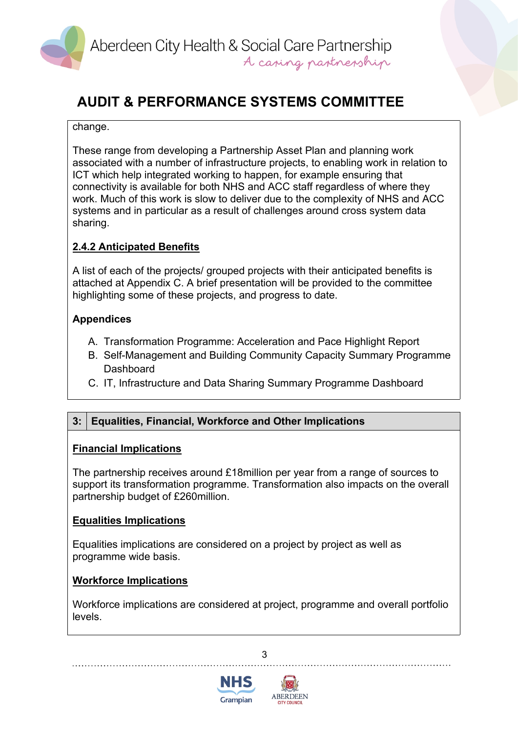

#### change.

These range from developing a Partnership Asset Plan and planning work associated with a number of infrastructure projects, to enabling work in relation to ICT which help integrated working to happen, for example ensuring that connectivity is available for both NHS and ACC staff regardless of where they work. Much of this work is slow to deliver due to the complexity of NHS and ACC systems and in particular as a result of challenges around cross system data sharing.

# **2.4.2 Anticipated Benefits**

A list of each of the projects/ grouped projects with their anticipated benefits is attached at Appendix C. A brief presentation will be provided to the committee highlighting some of these projects, and progress to date.

## **Appendices**

- A. Transformation Programme: Acceleration and Pace Highlight Report
- B. Self-Management and Building Community Capacity Summary Programme **Dashboard**
- C. IT, Infrastructure and Data Sharing Summary Programme Dashboard

# **3: Equalities, Financial, Workforce and Other Implications**

### **Financial Implications**

The partnership receives around £18million per year from a range of sources to support its transformation programme. Transformation also impacts on the overall partnership budget of £260million.

### **Equalities Implications**

Equalities implications are considered on a project by project as well as programme wide basis.

### **Workforce Implications**

Workforce implications are considered at project, programme and overall portfolio levels.



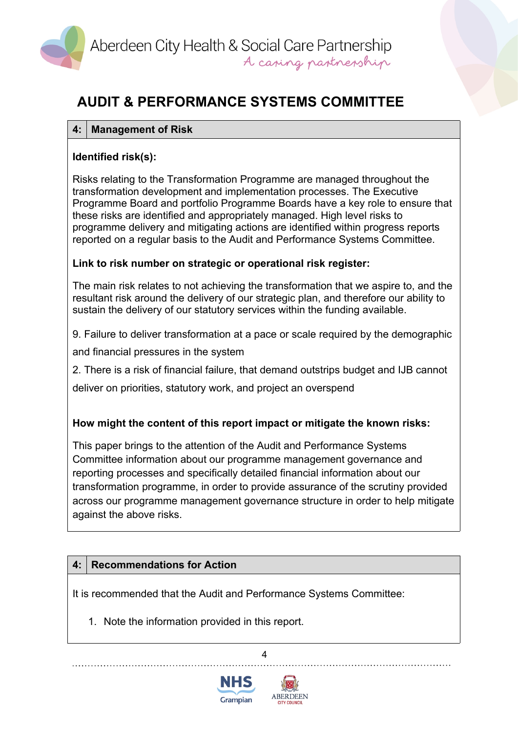

### **4: Management of Risk**

## **Identified risk(s):**

Risks relating to the Transformation Programme are managed throughout the transformation development and implementation processes. The Executive Programme Board and portfolio Programme Boards have a key role to ensure that these risks are identified and appropriately managed. High level risks to programme delivery and mitigating actions are identified within progress reports reported on a regular basis to the Audit and Performance Systems Committee.

### **Link to risk number on strategic or operational risk register:**

The main risk relates to not achieving the transformation that we aspire to, and the resultant risk around the delivery of our strategic plan, and therefore our ability to sustain the delivery of our statutory services within the funding available.

9. Failure to deliver transformation at a pace or scale required by the demographic

and financial pressures in the system

2. There is a risk of financial failure, that demand outstrips budget and IJB cannot

deliver on priorities, statutory work, and project an overspend

# **How might the content of this report impact or mitigate the known risks:**

This paper brings to the attention of the Audit and Performance Systems Committee information about our programme management governance and reporting processes and specifically detailed financial information about our transformation programme, in order to provide assurance of the scrutiny provided across our programme management governance structure in order to help mitigate against the above risks.

# **4: Recommendations for Action**

It is recommended that the Audit and Performance Systems Committee:

1. Note the information provided in this report.